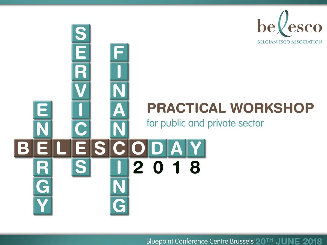

## **PRACTICAL WORKSHOP**

for public and private sector

AT

2018

 $\frac{\textbf{S}}{\textbf{E}}$ R

R

G

**SIC** 

Bluepoint Conference Centre Brussels 20<sup>TH</sup> JUNE 2018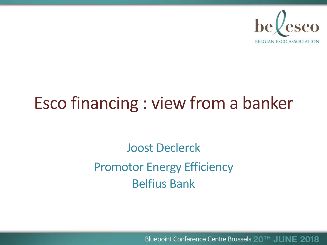

# Esco financing : view from a banker

Joost Declerck Promotor Energy Efficiency Belfius Bank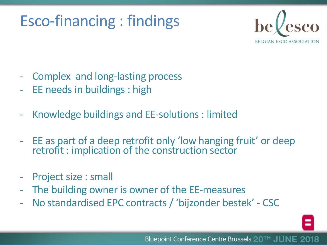## Esco-financing : findings



- Complex and long-lasting process
- EE needs in buildings : high
- Knowledge buildings and EE-solutions : limited
- EE as part of a deep retrofit only 'low hanging fruit' or deep retrofit : implication of the construction sector
- Project size : small
- The building owner is owner of the EE-measures
- No standardised EPC contracts / 'bijzonder bestek' CSC

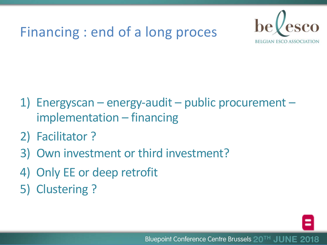### Financing : end of a long proces



- 1) Energyscan energy-audit public procurement implementation – financing
- 2) Facilitator ?
- 3) Own investment or third investment?
- 4) Only EE or deep retrofit
- 5) Clustering ?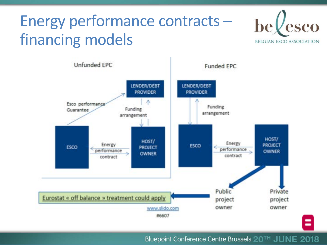## Energy performance contracts – financing models



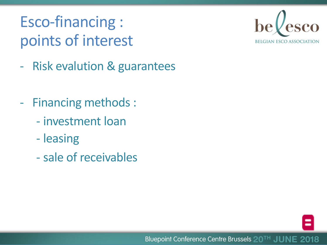## Esco-financing : points of interest



- Risk evalution & guarantees
- Financing methods :
	- investment loan
	- leasing
	- sale of receivables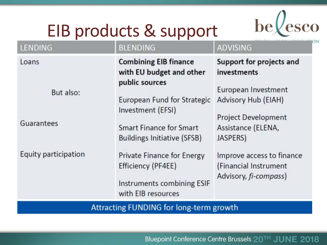# EIB products & support



| <b>LENDING</b>                   | <b>BLENDING</b>                                                                                                                                                                                        | <b>ADVISING</b>                                                                                                                                       |
|----------------------------------|--------------------------------------------------------------------------------------------------------------------------------------------------------------------------------------------------------|-------------------------------------------------------------------------------------------------------------------------------------------------------|
| Loans<br>But also:<br>Guarantees | <b>Combining EIB finance</b><br>with EU budget and other<br>public sources<br>European Fund for Strategic<br>Investment (EFSI)<br><b>Smart Finance for Smart</b><br><b>Buildings Initiative (SFSB)</b> | Support for projects and<br>investments<br>European Investment<br>Advisory Hub (EIAH)<br><b>Project Development</b><br>Assistance (ELENA,<br>JASPERS) |
| Equity participation             | Private Finance for Energy<br>Efficiency (PF4EE)<br>Instruments combining ESIF<br>with EIB resources                                                                                                   | Improve access to finance<br>(Financial Instrument<br>Advisory, fi-compass)                                                                           |
|                                  | <b>Attracting FUNDING for long-term growth</b>                                                                                                                                                         |                                                                                                                                                       |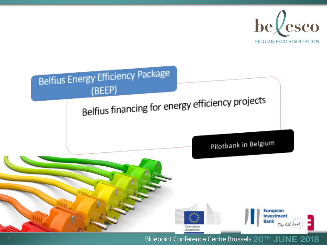

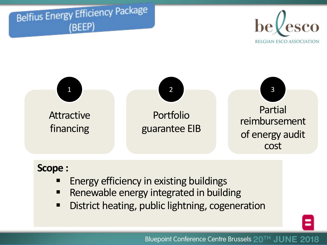





### **Scope :**

- § Energy efficiency in existing buildings
- Renewable energy integrated in building
- **District heating, public lightning, cogeneration**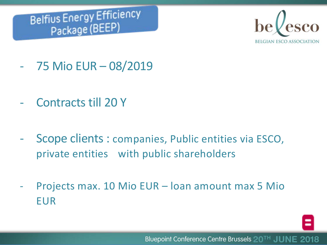



- 75 Mio EUR 08/2019
- Contracts till 20 Y
- Scope clients : companies, Public entities via ESCO, private entities with public shareholders
- Projects max. 10 Mio EUR loan amount max 5 Mio EUR

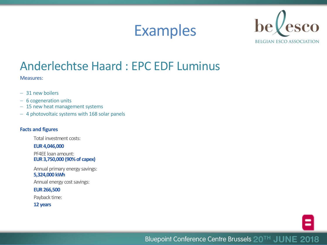



### Anderlechtse Haard : EPC EDF Luminus

Measures:

- 31 new boilers
- 6 cogeneration units
- 15 new heat management systems
- 4 photovoltaic systems with 168 solar panels

#### **Facts and figures**

Total investment costs:

**EUR 4,046,000**

PF4EE loan amount: **EUR 3,750,000 (90% of capex)**

Annual primary energy savings:

**5,324,000 kWh** 

Annual energy cost savings:

#### **EUR 266,500**

Payback time:

**12 years**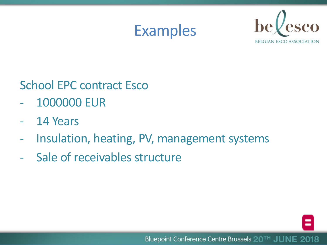



### School EPC contract Esco

- 1000000 EUR
- 14 Years
- Insulation, heating, PV, management systems
- Sale of receivables structure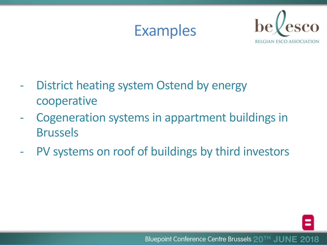



- District heating system Ostend by energy cooperative
- Cogeneration systems in appartment buildings in Brussels
- PV systems on roof of buildings by third investors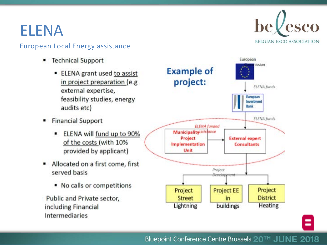### **ELENA**

#### **European Local Energy assistance**

- **Technical Support** 
	- **ELENA** grant used to assist in project preparation (e.g. external expertise, feasibility studies, energy audits etc)
- **Financial Support** 
	- ELENA will fund up to 90% of the costs (with 10% provided by applicant)
- Allocated on a first come, first served basis
	- No calls or competitions
- Public and Private sector, including Financial Intermediaries



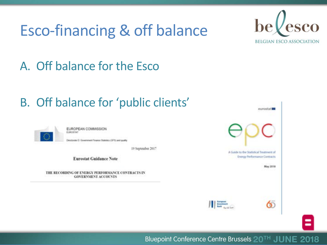## Esco-financing & off balance



### A. Off balance for the Esco

### B. Off balance for 'public clients'



EUROPEAN COMMISSION EUROSTAT

Nectorate D. Government Finance Statistics (SFS) and quality

19 September 2017

**Eurostat Guidance Note** 

THE RECORDING OF ENERGY PERFORMANCE CONTRACTS IN **GOVERNMENT ACCOUNTS** 

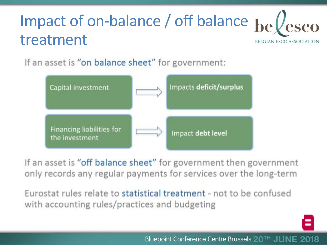### Impact of on-balance / off balance bellesco treatment **BELGIAN ESCO ASSOCIATION**

If an asset is "on balance sheet" for government:



If an asset is "off balance sheet" for government then government only records any regular payments for services over the long-term

Eurostat rules relate to statistical treatment - not to be confused with accounting rules/practices and budgeting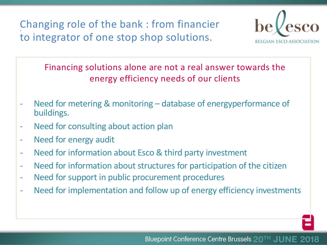Changing role of the bank : from financier to integrator of one stop shop solutions.



Financing solutions alone are not a real answer towards the energy efficiency needs of our clients

- Need for metering & monitoring database of energyperformance of buildings.
- Need for consulting about action plan
- Need for energy audit
- Need for information about Esco & third party investment
- Need for information about structures for participation of the citizen
- Need for support in public procurement procedures
- Need for implementation and follow up of energy efficiency investments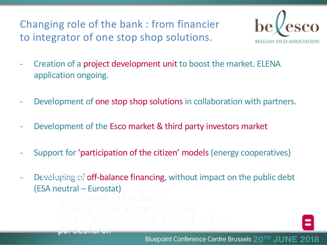Changing role of the bank : from financier to integrator of one stop shop solutions.



- Creation of a project development unit to boost the market. ELENA application ongoing.
- Development of one stop shop solutions in collaboration with partners.
- Development of the Esco market & third party investors market
- Support for 'participation of the citizen' models (energy cooperatives)
- Developing of off-balance financing, without impact on the public debt (ESA neutral – Eurostat)
	- Social promit, vnij enderwijs
	- Rachteparean neer privest racht
	- tto Esoo : "oublicke" entroleron. bedniken,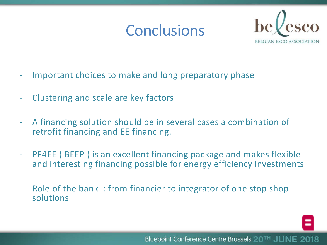## **Conclusions**



- Important choices to make and long preparatory phase
- Clustering and scale are key factors
- A financing solution should be in several cases a combination of retrofit financing and EE financing.
- PF4EE ( BEEP ) is an excellent financing package and makes flexible and interesting financing possible for energy efficiency investments
- Role of the bank : from financier to integrator of one stop shop solutions